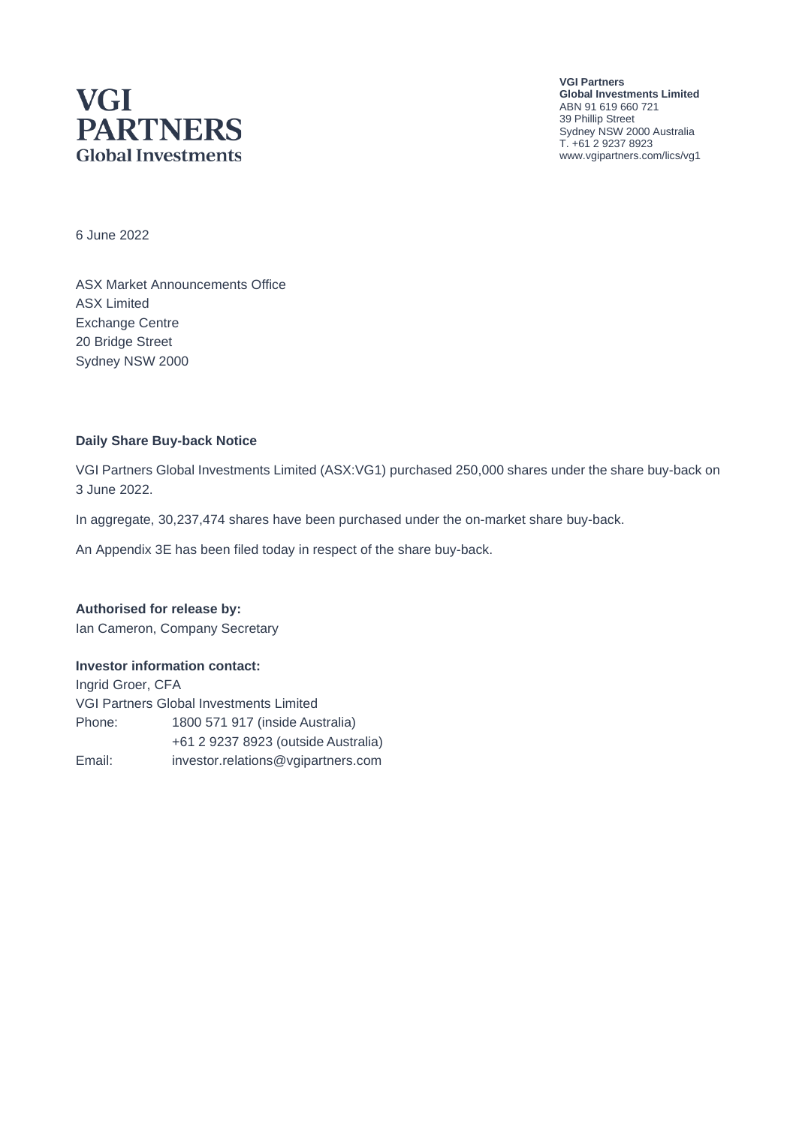# **VGI PARTNERS Global Investments**

**VGI Partners Global Investments Limited** ABN 91 619 660 721 39 Phillip Street Sydney NSW 2000 Australia T. +61 2 9237 8923 www.vgipartners.com/lics/vg1

6 June 2022

ASX Market Announcements Office ASX Limited Exchange Centre 20 Bridge Street Sydney NSW 2000

#### **Daily Share Buy-back Notice**

VGI Partners Global Investments Limited (ASX:VG1) purchased 250,000 shares under the share buy-back on 3 June 2022.

In aggregate, 30,237,474 shares have been purchased under the on-market share buy-back.

An Appendix 3E has been filed today in respect of the share buy-back.

**Authorised for release by:** Ian Cameron, Company Secretary

#### **Investor information contact:**

Ingrid Groer, CFA VGI Partners Global Investments Limited Phone: 1800 571 917 (inside Australia) +61 2 9237 8923 (outside Australia) Email: investor.relations@vgipartners.com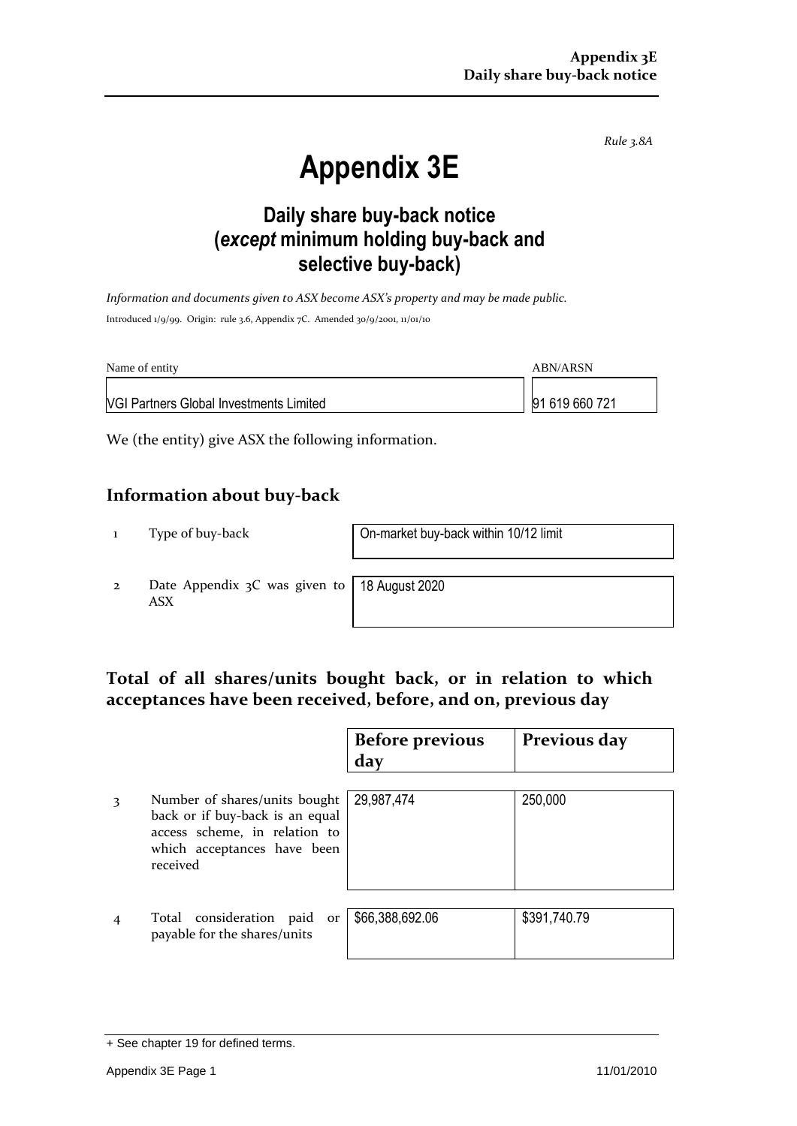*Rule 3.8A*

# **Appendix 3E**

## **Daily share buy-back notice (***except* **minimum holding buy-back and selective buy-back)**

*Information and documents given to ASX become ASX's property and may be made public.* Introduced 1/9/99. Origin: rule 3.6, Appendix 7C. Amended 30/9/2001, 11/01/10

| Name of entity                                 | ABN/ARSN       |
|------------------------------------------------|----------------|
| <b>VGI Partners Global Investments Limited</b> | 91 619 660 721 |

We (the entity) give ASX the following information.

#### **Information about buy-back**

1 Type of buy-back On-market buy-back within 10/12 limit

2 Date Appendix 3C was given to ASX

18 August 2020

#### **Total of all shares/units bought back, or in relation to which acceptances have been received, before, and on, previous day**

|   |                                                                                                                                              | <b>Before previous</b><br>day | Previous day |
|---|----------------------------------------------------------------------------------------------------------------------------------------------|-------------------------------|--------------|
| 3 | Number of shares/units bought<br>back or if buy-back is an equal<br>access scheme, in relation to<br>which acceptances have been<br>received | 29,987,474                    | 250,000      |
|   | Total consideration paid<br>or<br>payable for the shares/units                                                                               | \$66,388,692.06               | \$391,740.79 |

<sup>+</sup> See chapter 19 for defined terms.